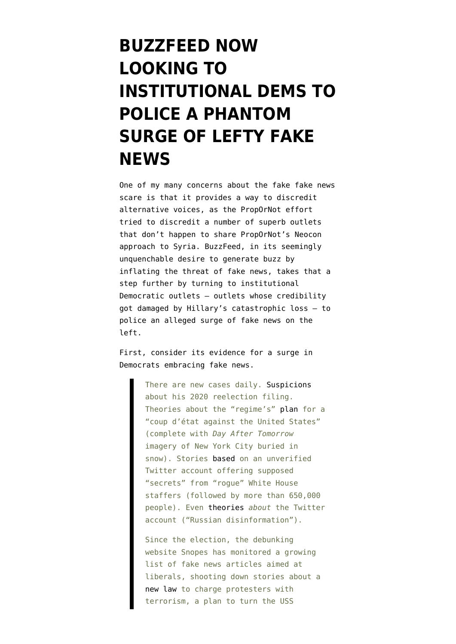## **[BUZZFEED NOW](https://www.emptywheel.net/2017/02/06/buzzfeed-now-looking-to-institutional-dems-to-combat-a-phantom-surge-of-lefty-fake-news/) [LOOKING TO](https://www.emptywheel.net/2017/02/06/buzzfeed-now-looking-to-institutional-dems-to-combat-a-phantom-surge-of-lefty-fake-news/) [INSTITUTIONAL DEMS TO](https://www.emptywheel.net/2017/02/06/buzzfeed-now-looking-to-institutional-dems-to-combat-a-phantom-surge-of-lefty-fake-news/) [POLICE A PHANTOM](https://www.emptywheel.net/2017/02/06/buzzfeed-now-looking-to-institutional-dems-to-combat-a-phantom-surge-of-lefty-fake-news/) [SURGE OF LEFTY FAKE](https://www.emptywheel.net/2017/02/06/buzzfeed-now-looking-to-institutional-dems-to-combat-a-phantom-surge-of-lefty-fake-news/) [NEWS](https://www.emptywheel.net/2017/02/06/buzzfeed-now-looking-to-institutional-dems-to-combat-a-phantom-surge-of-lefty-fake-news/)**

One of my many concerns about the fake fake news scare is that it provides a way to discredit alternative voices, as the PropOrNot effort tried to discredit a number of superb outlets that don't happen to share PropOrNot's Neocon approach to Syria. BuzzFeed, in its seemingly unquenchable desire to generate buzz by inflating the threat of fake news, [takes that a](https://www.buzzfeed.com/rubycramer/democrats-confront-lefty-fake-news?) [step further](https://www.buzzfeed.com/rubycramer/democrats-confront-lefty-fake-news?) by turning to institutional Democratic outlets — outlets whose credibility got damaged by Hillary's catastrophic loss — to police an alleged surge of fake news on the left.

First, consider its evidence for a surge in Democrats embracing fake news.

> There are new cases daily. [Suspicions](https://twitter.com/matthewberg/status/825744158023352320) about his 2020 reelection filing. Theories about the "regime's" [plan](https://medium.com/@yonatanzunger/trial-balloon-for-a-coup-e024990891d5#.hd9opm9xs) for a "coup d'état against the United States" (complete with *Day After Tomorrow* imagery of New York City buried in snow). Stories [based](http://bgr.com/2017/01/30/donald-trump-vs-white-house-rogues/) on an unverified Twitter account offering supposed "secrets" from "rogue" White House staffers (followed by more than 650,000 people). Even [theories](https://twitter.com/max_read/status/826202627511824384) *about* the Twitter account ("Russian disinformation").

Since the election, the debunking website Snopes has monitored a growing list of fake news articles aimed at liberals, shooting down stories about a [new law](http://www.snopes.com/law-charges-protesters-with-terrorism/) to charge protesters with terrorism, a plan to turn the USS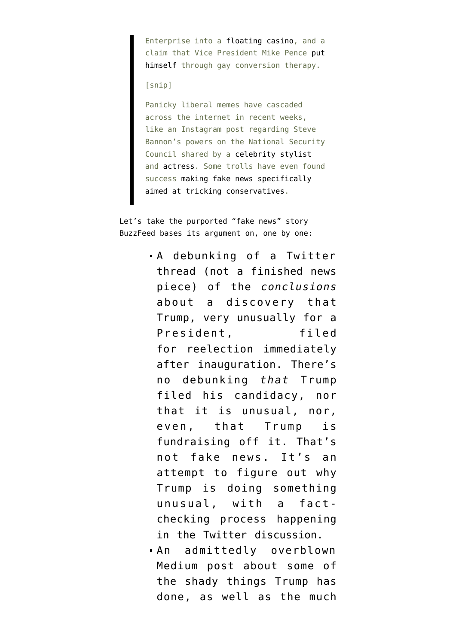Enterprise into a [floating casino](http://www.snopes.com/trump-to-repurpose-uss-enterprise-into-floating-hotel-and-casino/), and a claim that Vice President Mike Pence [put](http://www.snopes.com/mike-pence-conversion-therapy/) [himself](http://www.snopes.com/mike-pence-conversion-therapy/) through gay conversion therapy.

[snip]

Panicky liberal memes have cascaded across the internet in recent weeks, like an Instagram post regarding Steve Bannon's powers on the National Security Council shared by a [celebrity stylist](https://www.instagram.com/p/BP9OjLwjoox/?taken-by=karlawelchstylist) and [actress](https://www.instagram.com/p/BP9rUxOBfXN/). Some trolls have even found success [making fake news specifically](https://www.buzzfeed.com/craigsilverman/a-hoax-about-trump-removing-islamic-symbols-from-the-white-h?utm_term=.kjzKW6XdE#.yqne6KrzO) [aimed at tricking conservatives.](https://www.buzzfeed.com/craigsilverman/a-hoax-about-trump-removing-islamic-symbols-from-the-white-h?utm_term=.kjzKW6XdE#.yqne6KrzO)

Let's take the purported "fake news" story BuzzFeed bases its argument on, one by one:

- A [debunking](https://twitter.com/matthewberg/status/825744158023352320) of a [Twitter](https://twitter.com/resisterhood/status/825435325535252480) [thread](https://twitter.com/resisterhood/status/825435325535252480) (not a finished news piece) of the *conclusions* about a discovery that Trump, very unusually for a President, filed for reelection immediately after inauguration. There's no debunking *that* Trump filed his candidacy, nor that it is unusual, nor, even, that Trump is fundraising off it. That's not fake news. It's an attempt to figure out why Trump is doing something unusual, with a factchecking process happening in the Twitter discussion.
- An admittedly [overblown](https://medium.com/@yonatanzunger/trial-balloon-for-a-coup-e024990891d5#) [Medium post](https://medium.com/@yonatanzunger/trial-balloon-for-a-coup-e024990891d5#) about some of the shady things Trump has done, as well as the much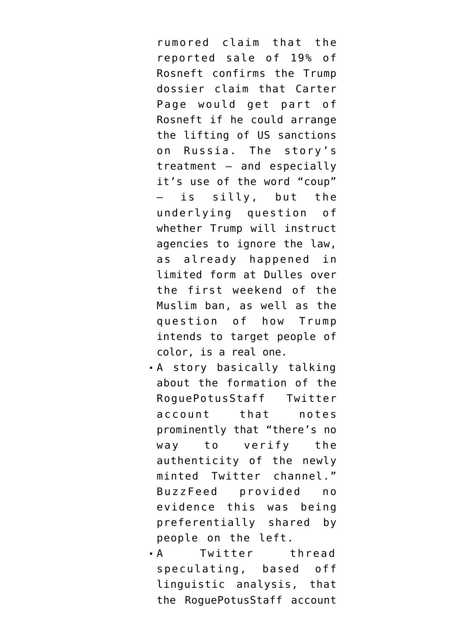rumored claim that the reported sale of 19% of Rosneft confirms the [Trump](https://www.documentcloud.org/documents/3259984-Trump-Intelligence-Allegations.html) [dossier](https://www.documentcloud.org/documents/3259984-Trump-Intelligence-Allegations.html) claim that Carter Page would get part of Rosneft if he could arrange the lifting of US sanctions on Russia. The story's treatment — and especially it's use of the word "coup" is silly, but the underlying question of whether Trump will instruct agencies to ignore the law, as already happened in limited form at Dulles over the first weekend of the Muslim ban, as well as the question of how Trump intends to target people of color, is a real one.

- A [story](https://bgr.com/2017/01/30/donald-trump-vs-white-house-rogues/) basically talking about the formation of the RoguePotusStaff Twitter account that notes prominently that "there's no way to verify the authenticity of the newly minted Twitter channel." BuzzFeed provided no evidence this was being preferentially shared by people on the left.
- A Twitter [thread](https://twitter.com/max_read/status/826202627511824384) speculating, based off linguistic analysis, that the RoguePotusStaff account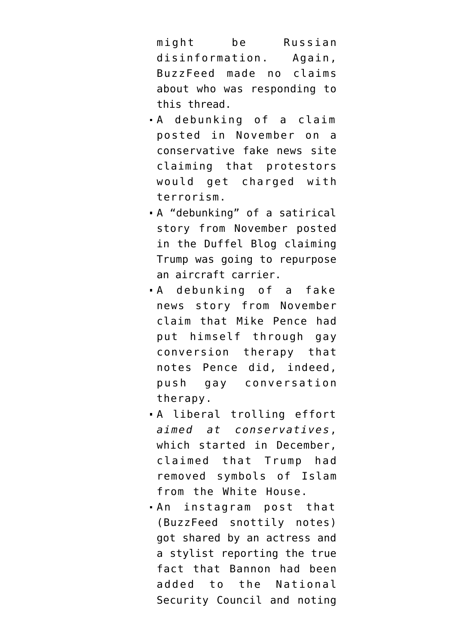might be Russian disinformation. Again, BuzzFeed made no claims about who was responding to this thread.

- A [debunking](http://www.snopes.com/law-charges-protesters-with-terrorism/) of a claim posted in November on a conservative fake news site claiming that protestors would get charged with terrorism.
- A "[debunking"](http://www.snopes.com/trump-to-repurpose-uss-enterprise-into-floating-hotel-and-casino/) of a satirical story from November posted in the Duffel Blog claiming Trump was going to repurpose an aircraft carrier.
- A [debunking](http://www.snopes.com/mike-pence-conversion-therapy/) of a fake news story from November claim that Mike Pence had put himself through gay conversion therapy that notes Pence did, indeed, push gay conversation therapy.
- A liberal trolling effort *aimed at conservatives*, which started in December, [claimed](https://www.buzzfeed.com/craigsilverman/a-hoax-about-trump-removing-islamic-symbols-from-the-white-h?) that Trump had removed symbols of Islam from the White House.
- An [instagram post](https://www.instagram.com/p/BP9rUxOBfXN/) that (BuzzFeed snottily notes) got shared by an actress and a stylist reporting the true fact that Bannon had been added to the National Security Council and noting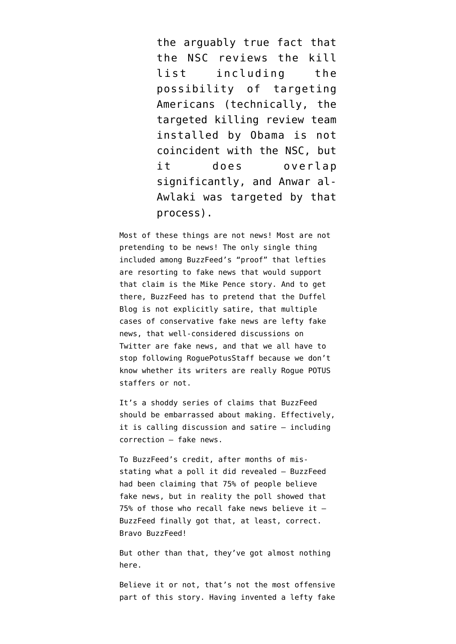the arguably true fact that the NSC reviews the kill list including the possibility of targeting Americans (technically, the targeted killing review team installed by Obama is not coincident with the NSC, but it does overlap significantly, and Anwar al-Awlaki was targeted by that process).

Most of these things are not news! Most are not pretending to be news! The only single thing included among BuzzFeed's "proof" that lefties are resorting to fake news that would support that claim is the Mike Pence story. And to get there, BuzzFeed has to pretend that the Duffel Blog is not explicitly satire, that multiple cases of conservative fake news are lefty fake news, that well-considered discussions on Twitter are fake news, and that we all have to stop following [RoguePotusStaff](https://twitter.com/roguepotusstaff) because we don't know whether its writers are really Rogue POTUS staffers or not.

It's a shoddy series of claims that BuzzFeed should be embarrassed about making. Effectively, it is calling discussion and satire — including correction — fake news.

To BuzzFeed's credit, after months of misstating what a poll it did revealed — BuzzFeed had been [claiming](https://www.emptywheel.net/2016/12/07/bible-still-outperforms-facebook-delivering-fake-news/) that 75% of people believe fake news, but in reality the poll showed that  $75\%$  of those who recall fake news believe it  $-$ BuzzFeed finally got that, at least, correct. Bravo BuzzFeed!

But other than that, they've got almost nothing here.

Believe it or not, that's not the most offensive part of this story. Having invented a lefty fake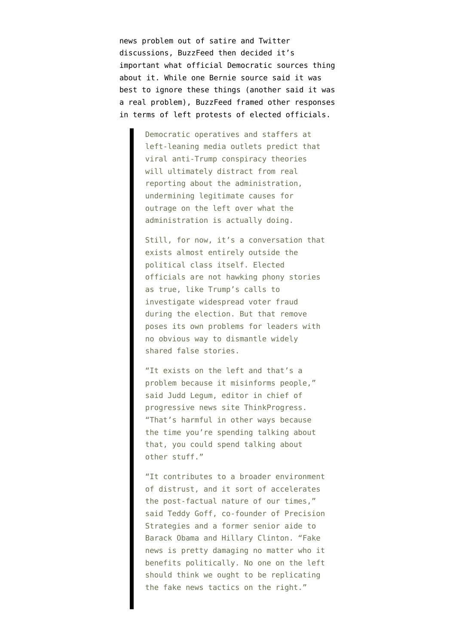news problem out of satire and Twitter discussions, BuzzFeed then decided it's important what official Democratic sources thing about it. While one Bernie source said it was best to ignore these things (another said it was a real problem), BuzzFeed framed other responses in terms of left protests of elected officials.

> Democratic operatives and staffers at left-leaning media outlets predict that viral anti-Trump conspiracy theories will ultimately distract from real reporting about the administration, undermining legitimate causes for outrage on the left over what the administration is actually doing.

Still, for now, it's a conversation that exists almost entirely outside the political class itself. Elected officials are not hawking phony stories as true, like Trump's calls to investigate widespread voter fraud during the election. But that remove poses its own problems for leaders with no obvious way to dismantle widely shared false stories.

"It exists on the left and that's a problem because it misinforms people," said Judd Legum, editor in chief of progressive news site ThinkProgress. "That's harmful in other ways because the time you're spending talking about that, you could spend talking about other stuff."

"It contributes to a broader environment of distrust, and it sort of accelerates the post-factual nature of our times," said Teddy Goff, co-founder of Precision Strategies and a former senior aide to Barack Obama and Hillary Clinton. "Fake news is pretty damaging no matter who it benefits politically. No one on the left should think we ought to be replicating the fake news tactics on the right."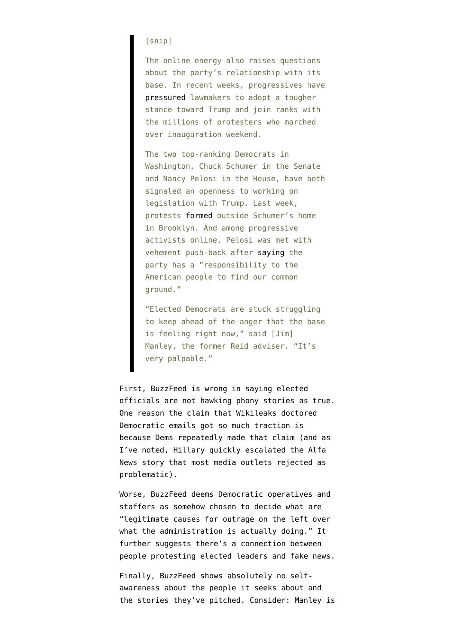## [snip]

The online energy also raises questions about the party's relationship with its base. In recent weeks, progressives have [pressured](https://www.buzzfeed.com/tariniparti/democrats-struggle-with-what-the-trump-resistance-should-loo) lawmakers to adopt a tougher stance toward Trump and join ranks with the millions of protesters who marched over inauguration weekend.

The two top-ranking Democrats in Washington, Chuck Schumer in the Senate and Nancy Pelosi in the House, have both signaled an openness to working on legislation with Trump. Last week, protests [formed](https://twitter.com/buzzfeednews/status/826573053475721217) outside Schumer's home in Brooklyn. And among progressive activists online, Pelosi was met with vehement push-back after [saying](https://www.buzzfeed.com/rubycramer/nancy-pelosi-says-democrats-have-a-responsibility-to-find-co?utm_term=.qyd3Q6MY3z#.nb0XrbM9Xx) the party has a "responsibility to the American people to find our common ground."

"Elected Democrats are stuck struggling to keep ahead of the anger that the base is feeling right now," said [Jim] Manley, the former Reid adviser. "It's very palpable."

First, BuzzFeed is wrong in saying elected officials are not hawking phony stories as true. One reason the [claim](https://www.emptywheel.net/2017/02/03/the-most-believed-fake-news-stories-of-the-election-tested-by-stanford-favored-hillary/) that Wikileaks doctored Democratic emails got so much traction is because Dems repeatedly made that claim (and as I've noted, Hillary quickly [escalated](https://www.emptywheel.net/2016/11/01/boob-clinic-part-international-spying-plot-hillarys/) the Alfa News story that most media outlets rejected as problematic).

Worse, BuzzFeed deems Democratic operatives and staffers as somehow chosen to decide what are "legitimate causes for outrage on the left over what the administration is actually doing." It further suggests there's a connection between people protesting elected leaders and fake news.

Finally, BuzzFeed shows absolutely no selfawareness about the people it seeks about and the stories they've pitched. Consider: Manley is